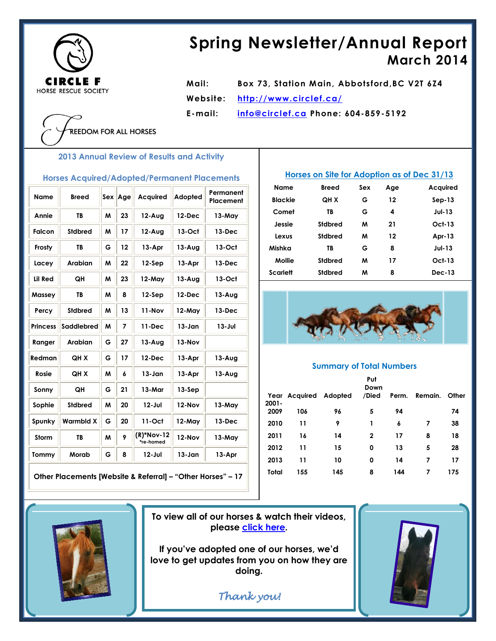

# **Spring Newsletter/Annual Report March 2014**

**Mail: Box 73, Station Main, Abbotsford,BC V2T 6Z4 Website: <http://www.circlef.ca/> E-mail: [info@circlef.ca](mailto:info@circlef.ca) Phone: 604-859-5192**

**EEDOM FOR ALL HORSES** 

**2013 Annual Review of Results and Activity**

#### **Horses Acquired/Adopted/Permanent Placements**

| <b>Name</b>     | <b>Breed</b>     | <b>Sex</b> | Age | <b>Acquired</b>           | Adopted    | Permanent<br>Placement |
|-----------------|------------------|------------|-----|---------------------------|------------|------------------------|
| Annie           | TB               | м          | 23  | $12-Auq$                  | $12$ -Dec  | 13-May                 |
| Falcon          | Stdbred          | M          | 17  | $12-Auq$                  | $13-Oct$   | $13-Dec$               |
| Frosty          | <b>TB</b>        | G          | 12  | 13-Apr                    | $13-Aug$   | 13-Oct                 |
| Lacey           | <b>Arabian</b>   | M          | 22  | $12-$ Sep                 | 13-Apr     | 13-Dec                 |
| Lil Red         | QH               | M          | 23  | 12-May                    | $13-Auq$   | 13-Oct                 |
| Massey          | TB               | M          | 8   | $12-$ Sep                 | 12-Dec     | $13-Auq$               |
| Percy           | Stdbred          | M          | 13  | 11-Nov                    | 12-May     | 13-Dec                 |
| <b>Princess</b> | Saddlebred       | M          | 7   | 11-Dec                    | 13-Jan     | 13-Jul                 |
| Ranger          | <b>Arabian</b>   | G          | 27  | $13 - Aug$                | 13-Nov     |                        |
| Redman          | <b>QHX</b>       | G          | 17  | $12$ -Dec                 | 13-Apr     | $13-Auq$               |
| Rosie           | <b>QHX</b>       | W          | 6   | $13 - Jan$                | 13-Apr     | $13-Auq$               |
| Sonny           | QH               | G          | 21  | 13-Mar                    | $13-Sep$   |                        |
| Sophie          | Stdbred          | M          | 20  | $12 -$ Jul                | 12-Nov     | 13-May                 |
| Spunky          | <b>Warmbld X</b> | G          | 20  | 11-Oct                    | 12-May     | 13-Dec                 |
| Storm           | TB               | M          | 9   | $(R)*Nov-12$<br>*re-homed | 12-Nov     | 13-May                 |
| Tommy           | Morab            | G          | 8   | $12 -$ Jul                | $13 - Jan$ | 13-Apr                 |

**Other Placements [Website & Referral] – "Other Horses" – 17**

### **Horses on Site for Adoption as of Dec 31/13**

| Name           | Breed          | Sex | Age | Acquired      |
|----------------|----------------|-----|-----|---------------|
| <b>Blackie</b> | <b>OH X</b>    | G   | 12  | $Sep-13$      |
| Comet          | TB             | G   | 4   | <b>Jul-13</b> |
| Jessie         | Stdbred        | м   | 21  | $Oct-13$      |
| Lexus          | Stdbred        | м   | 12  | Apr-13        |
| Mishka         | TB             | G   | 8   | <b>Jul-13</b> |
| Mollie         | Stdbred        | м   | 17  | $Oct-13$      |
| Scarlett       | <b>Stdbred</b> | м   | 8   | <b>Dec-13</b> |



#### **Summary of Total Numbers**

|          |                       |     | Put<br>Down  |       |         |       |
|----------|-----------------------|-----|--------------|-------|---------|-------|
| $2001 -$ | Year Acquired Adopted |     | /Died        | Perm. | Remain. | Other |
| 2009     | 106                   | 96  | 5            | 94    |         | 74    |
| 2010     | 11                    | 9   | 1            | 6     | 7       | 38    |
| 2011     | 16                    | 14  | $\mathbf{2}$ | 17    | 8       | 18    |
| 2012     | 11                    | 15  | 0            | 13    | 5       | 28    |
| 2013     | 11                    | 10  | 0            | 14    | 7       | 17    |
| Total    | 155                   | 145 | 8            | 144   | 7       | 175   |
|          |                       |     |              |       |         |       |



**To view all of our horses & watch their videos, please [click here.](http://www.circlef.ca/horses.htm)**

**If you've adopted one of our horses, we'd love to get updates from you on how they are doing.**

*Thank you!*

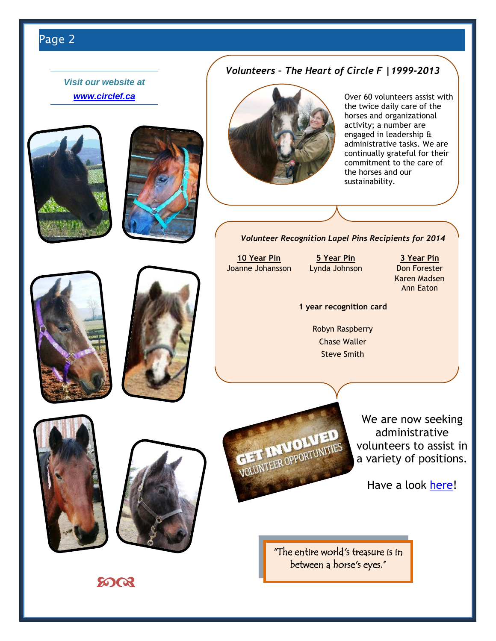# Page 2

*Visit our website at [www.circlef.ca](http://www.circlef.ca/)*







**GET INVOLVED** 

Over 60 volunteers assist with the twice daily care of the horses and organizational activity; a number are engaged in leadership & administrative tasks. We are continually grateful for their commitment to the care of the horses and our sustainability.

*Volunteer Recognition Lapel Pins Recipients for 2014*

*Volunteers – The Heart of Circle F |1999-2013*





**10 Year Pin 5 Year Pin 3 Year Pin** Joanne Johansson Lynda Johnson Don Forester

Karen Madsen Ann Eaton

#### **1 year recognition card**

Robyn Raspberry Chase Waller Steve Smith

> We are now seeking administrative volunteers to assist in a variety of positions.

Have a look [here!](http://www.circlef.ca/Volunteers2014.htm)

"The entire world's treasure is in between a horse's eyes."

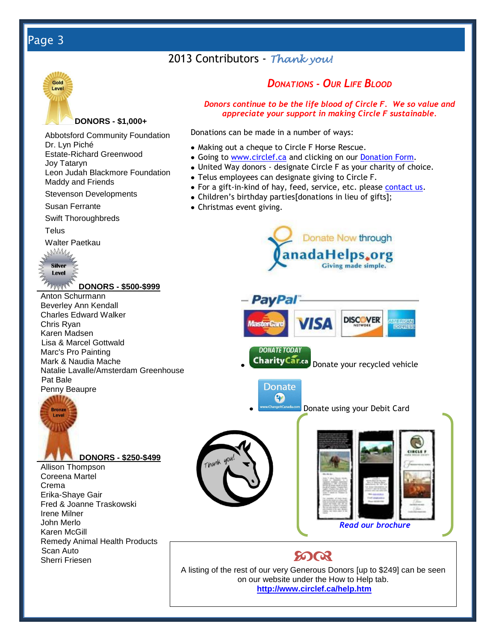# Page 3

### 2013 Contributors - *Thank you!*



#### **DONORS - \$1,000+**

Abbotsford Community Foundation Dr. Lyn Piché Estate-Richard Greenwood Joy Tataryn

Leon Judah Blackmore Foundation Maddy and Friends

Stevenson Developments

Susan Ferrante

Swift Thoroughbreds

**Telus** 

Walter Paetkau



**DONORS - \$500-\$999**

Anton Schurmann Beverley Ann Kendall Charles Edward Walker Chris Ryan Karen Madsen Lisa & Marcel Gottwald Marc's Pro Painting Mark & Naudia Mache Natalie Lavalle/Amsterdam Greenhouse Pat Bale Penny Beaupre



Allison Thompson Coreena Martel Crema Erika-Shaye Gair Fred & Joanne Traskowski Irene Milner John Merlo Karen McGill Remedy Animal Health Products Scan Auto Sherri Friesen

### *DONATIONS - OUR LIFE BLOOD*

*Donors continue to be the life blood of Circle F. We so value and appreciate your support in making Circle F sustainable.*

Donations can be made in a number of ways:

- Making out a cheque to Circle F Horse Rescue.
- Going to [www.circlef.ca](http://www.circlef.ca/) and clicking on our [Donation Form.](http://www.circlef.ca/Circle%20F%20Donation%20Form.pdf)
- United Way donors designate Circle F as your charity of choice.
- Telus employees can designate giving to Circle F.
- For a gift-in-kind of hay, feed, service, etc. please [contact us.](mailto:info@circlef.ca)
- Children's birthday parties[donations in lieu of gifts];
- Christmas event giving.





**Donate using your Debit Card** 





*[Read our brochure](http://www.circlef.ca/PDF/Brochure.pdf)*

A listing of the rest of our very Generous Donors [up to \$249] can be seen on our website under the How to Help tab. **<http://www.circlef.ca/help.htm>**

**8003**